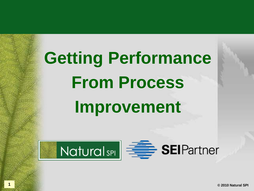# **Getting Performance From Process Improvement**

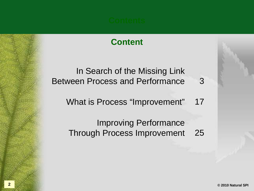#### **Content**

In Search of the Missing Link Between Process and Performance What is Process "Improvement" 3 17

> Improving Performance Through Process Improvement 25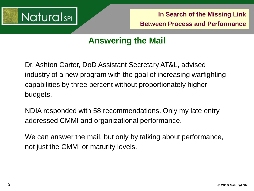

#### **Answering the Mail**

Dr. Ashton Carter, DoD Assistant Secretary AT&L, advised industry of a new program with the goal of increasing warfighting capabilities by three percent without proportionately higher budgets.

NDIA responded with 58 recommendations. Only my late entry addressed CMMI and organizational performance.

We can answer the mail, but only by talking about performance, not just the CMMI or maturity levels.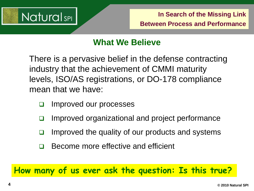

#### **What We Believe**

There is a pervasive belief in the defense contracting industry that the achievement of CMMI maturity levels, ISO/AS registrations, or DO-178 compliance mean that we have:

- □ Improved our processes
- Improved organizational and project performance
- Improved the quality of our products and systems
- □ Become more effective and efficient

**How many of us ever ask the question: Is this true?**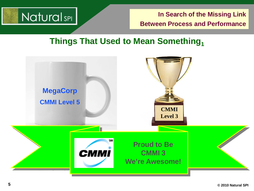

#### **Things That Used to Mean Something**<sup>1</sup>

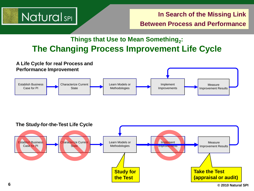

#### **Things that Use to Mean Something.: The Changing Process Improvement Life Cycle**



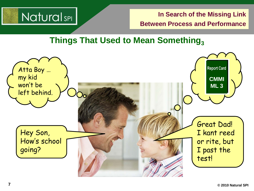

#### **Things That Used to Mean Something**<sub>3</sub>

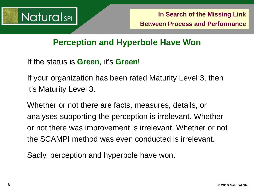

#### **Perception and Hyperbole Have Won**

If the status is **Green**, it's **Green**!

If your organization has been rated Maturity Level 3, then it's Maturity Level 3.

Whether or not there are facts, measures, details, or analyses supporting the perception is irrelevant. Whether or not there was improvement is irrelevant. Whether or not the SCAMPI method was even conducted is irrelevant.

Sadly, perception and hyperbole have won.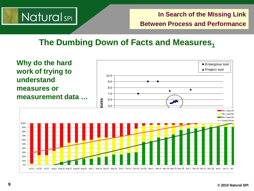

#### **The Dumbing Down of Facts and Measures**<sup>1</sup>

**Why do the hard**  ■ Enterprise tool ▲ Project tool **work of trying to**  10.0 **understand**  9.0 **measures or**  8.0 ▲  $\blacktriangle$ 7.0 **measurement data …Features** 6.0 5.0 ML 2 Specific ML 2 Specific ML 2 Specific Linear (Series 100% 2.0 90% 80% 70% 0.0 60% <u>┝╶┠╌┠╌┠╌╏╌</u>╱┥┨╂╂╁╂╁╂╁╂╁╂ 50% **Price** 40% 30% 20% 10% 0% Jul 13 Jul 20 Jul 27 Aug 3 Aug 10 Aug 17 Aug 24 Aug 31 Sep 7 Sep 14 Sep 21 Sep 28 Oct 5 Oct 12 Oct 16 Nov 2 Nov 3 Nov 30 Nov 30 Dec 7 Dec 14 Dec 21 Dec 28 Jan 4 Jan 11 Jan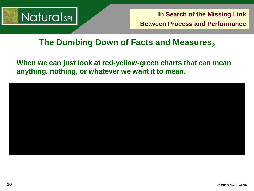

#### **The Dumbing Down of Facts and Measures**<sub>2</sub>

**When we can just look at red-yellow-green charts that can mean anything, nothing, or whatever we want it to mean.**

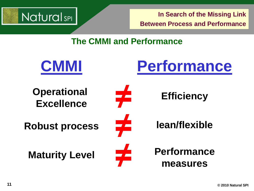

#### **The CMMI and Performance**

**≠**

**≠**

**≠**



**CMMI**

**Robust process**

**Maturity Level**



**Efficiency**

**lean/flexible**

**Performance measures**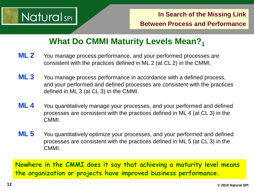

#### **What Do CMMI Maturity Levels Mean?**

- **ML 2** You manage process performance, and your performed processes are consistent with the practices defined in ML 2 (at CL 2) in the CMMI.
- **ML 3** You manage process performance in accordance with a defined process, and your performed and defined processes are consistent with the practices defined in ML 3 (at CL 3) in the CMMI.
- **ML 4** You quantitatively manage your processes, and your performed and defined processes are consistent with the practices defined in ML 4 (at CL 3) in the CMMI.
- **ML 5** You quantitatively optimize your processes, and your performed and defined processes are consistent with the practices defined in ML 5 (at CL 3) in the CMMI.

**Nowhere in the CMMI does it say that achieving a maturity level means the organization or projects have improved business performance.**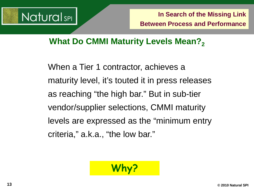

#### **What Do CMMI Maturity Levels Mean?**

When a Tier 1 contractor, achieves a maturity level, it's touted it in press releases as reaching "the high bar." But in sub-tier vendor/supplier selections, CMMI maturity levels are expressed as the "minimum entry criteria," a.k.a., "the low bar."

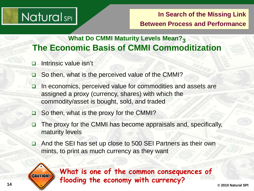### **NaturalsPL**

#### **In Search of the Missing Link Between Process and Performance**

#### **What Do CMMI Maturity Levels Mean?3 The Economic Basis of CMMI Commoditization**

- Intrinsic value isn't
- □ So then, what is the perceived value of the CMMI?
- $\Box$  In economics, perceived value for commodities and assets are assigned a proxy (currency, shares) with which the commodity/asset is bought, sold, and traded
- $\Box$  So then, what is the proxy for the CMMI?
- $\Box$  The proxy for the CMMI has become appraisals and, specifically, maturity levels
- □ And the SEI has set up close to 500 SEI Partners as their own mints, to print as much currency as they want



**14 © 2010 Natural SPI What is one of the common consequences of flooding the economy with currency?**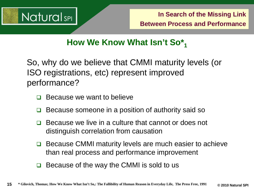

### **How We Know What Isn't So\*1**

So, why do we believe that CMMI maturity levels (or ISO registrations, etc) represent improved performance?

- Because we want to believe
- Because someone in a position of authority said so
- $\Box$  Because we live in a culture that cannot or does not distinguish correlation from causation
- **□** Because CMMI maturity levels are much easier to achieve than real process and performance improvement
- Because of the way the CMMI is sold to us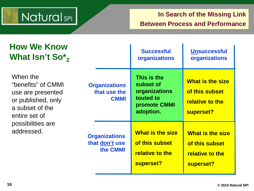## Natural<sub>sPI</sub>

#### **In Search of the Missing Link Between Process and Performance**

| <b>How We Know</b><br>What Isn't $\text{So}_2^*$                                                                                                 |                                                     | <b>Successful</b><br>organizations                                                  | <b>Unsuccessful</b><br>organizations                                      |
|--------------------------------------------------------------------------------------------------------------------------------------------------|-----------------------------------------------------|-------------------------------------------------------------------------------------|---------------------------------------------------------------------------|
| When the<br>"benefits" of CMMI<br>use are presented<br>or published, only<br>a subset of the<br>entire set of<br>possibilities are<br>addressed. | <b>Organizations</b><br>that use the<br><b>CMMI</b> | This is the<br>subset of<br>organizations<br>touted to<br>promote CMMI<br>adoption. | <b>What is the size</b><br>of this subset<br>relative to the<br>superset? |
|                                                                                                                                                  | <b>Organizations</b><br>that don't use<br>the CMMI  | <b>What is the size</b><br>of this subset<br>relative to the<br>superset?           | <b>What is the size</b><br>of this subset<br>relative to the<br>superset? |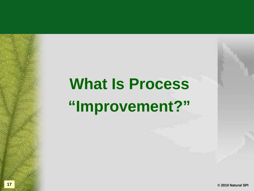## **What Is Process "Improvement?"**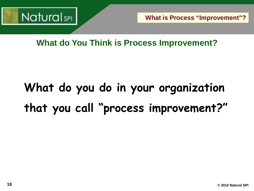

**What is Process "Improvement"?**

**What do You Think is Process Improvement?**

## **What do you do in your organization that you call "process improvement?"**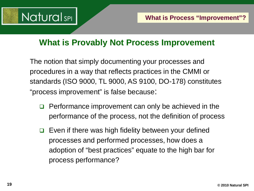

#### **What is Provably Not Process Improvement**

The notion that simply documenting your processes and procedures in a way that reflects practices in the CMMI or standards (ISO 9000, TL 9000, AS 9100, DO-178) constitutes "process improvement" is false because:

- $\Box$  Performance improvement can only be achieved in the performance of the process, not the definition of process
- $\Box$  Even if there was high fidelity between your defined processes and performed processes, how does a adoption of "best practices" equate to the high bar for process performance?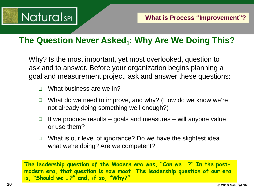

#### **The Question Never Asked<sub>1</sub>: Why Are We Doing This?**

Why? Is the most important, yet most overlooked, question to ask and to answer. Before your organization begins planning a goal and measurement project, ask and answer these questions:

- □ What business are we in?
- $\Box$  What do we need to improve, and why? (How do we know we're not already doing something well enough?)
- $\Box$  If we produce results goals and measures will anyone value or use them?
- $\Box$  What is our level of ignorance? Do we have the slightest idea what we're doing? Are we competent?

**The leadership question of the Modern era was, "Can we …?" In the postmodern era, that question is now moot. The leadership question of our era is, "Should we …?" and, if so, "Why?"**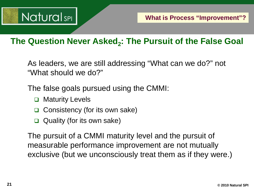

#### The Question Never Asked<sub>2</sub>: The Pursuit of the False Goal

As leaders, we are still addressing "What can we do?" not "What should we do?"

The false goals pursued using the CMMI:

- **□** Maturity Levels
- **□** Consistency (for its own sake)
- $\Box$  Quality (for its own sake)

The pursuit of a CMMI maturity level and the pursuit of measurable performance improvement are not mutually exclusive (but we unconsciously treat them as if they were.)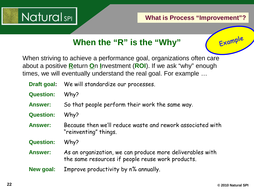

### **When the "R" is the "Why"**

When striving to achieve a performance goal, organizations often care about a positive **R**eturn **O**n **I**nvestment (**ROI**). If we ask "why" enough times, we will eventually understand the real goal. For example …

- **Draft goal:** We will standardize our processes.
- **Question:** Why?
- **Answer:** So that people perform their work the same way.
- **Question:** Why?
- **Answer:** Because then we'll reduce waste and rework associated with "reinventing" things.
- **Question:** Why?
- **Answer:** As an organization, we can produce more deliverables with the same resources if people reuse work products.
- **New goal:** Improve productivity by n% annually.

Example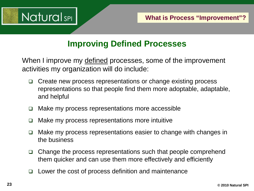

#### **Improving Defined Processes**

When I improve my defined processes, some of the improvement activities my organization will do include:

- □ Create new process representations or change existing process representations so that people find them more adoptable, adaptable, and helpful
- $\Box$  Make my process representations more accessible
- □ Make my process representations more intuitive
- Make my process representations easier to change with changes in the business
- $\Box$  Change the process representations such that people comprehend them quicker and can use them more effectively and efficiently
- $\Box$  Lower the cost of process definition and maintenance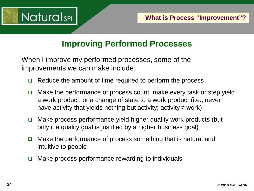

#### **Improving Performed Processes**

When I improve my performed processes, some of the improvements we can make include:

- $\Box$  Reduce the amount of time required to perform the process
- $\Box$  Make the performance of process count; make every task or step yield a work product, or a change of state to a work product (i.e., never have activity that yields nothing but activity; activity  $\neq$  work)
- $\Box$  Make process performance yield higher quality work products (but only if a quality goal is justified by a higher business goal)
- $\Box$  Make the performance of process something that is natural and intuitive to people
- $\Box$  Make process performance rewarding to individuals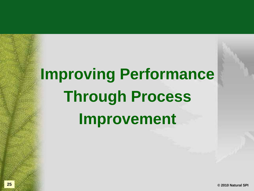## **Improving Performance Through Process Improvement**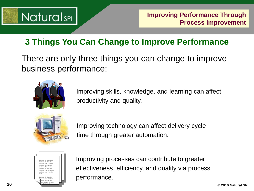## **NaturalsPL**

### **3 Things You Can Change to Improve Performance**

There are only three things you can change to improve business performance:



Improving skills, knowledge, and learning can affect productivity and quality.



Improving technology can affect delivery cycle time through greater automation.



Improving processes can contribute to greater effectiveness, efficiency, and quality via process performance.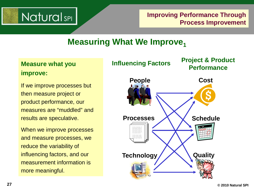## **NaturalsPI**

**Improving Performance Through Process Improvement**

#### **Measuring What We Improve,**

#### **Measure what you improve:**

If we improve processes but then measure project or product performance, our measures are "muddled" and results are speculative.

When we improve processes and measure processes, we reduce the variability of influencing factors, and our measurement information is more meaningful.

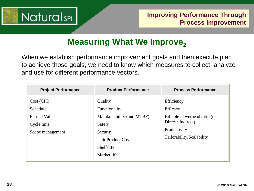

#### **Measuring What We Improve,**

When we establish performance improvement goals and then execute plan to achieve those goals, we need to know which measures to collect, analyze and use for different performance vectors.

| <b>Project Performance</b>                                                      | <b>Product Performance</b>                                                                                                            | <b>Process Performance</b>                                                                                                 |
|---------------------------------------------------------------------------------|---------------------------------------------------------------------------------------------------------------------------------------|----------------------------------------------------------------------------------------------------------------------------|
| Cost (CPI)<br>Schedule<br><b>Earned Value</b><br>Cycle time<br>Scope management | Quality<br>Functionality<br>Maintainability (and MTBF)<br>Safety<br>Security<br><b>Unit Product Cost</b><br>Shelf-life<br>Market life | Efficiency<br>Efficacy<br>Billable : Overhead ratio (or<br>Direct : Indirect)<br>Productivity<br>Tailorability/Scalability |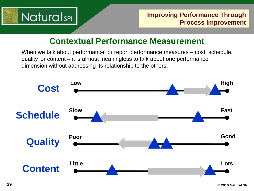

#### **Contextual Performance Measurement**

When we talk about performance, or report performance measures – cost, schedule, quality, or content – it is almost meaningless to talk about one performance dimension without addressing its relationship to the others.

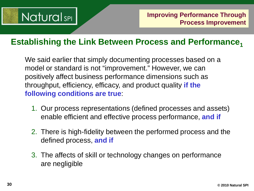## **NaturalsPL**

#### **Establishing the Link Between Process and Performance,**

We said earlier that simply documenting processes based on a model or standard is not "improvement." However, we can positively affect business performance dimensions such as throughput, efficiency, efficacy, and product quality **if the following conditions are true**:

- 1. Our process representations (defined processes and assets) enable efficient and effective process performance, **and if**
- 2. There is high-fidelity between the performed process and the defined process, **and if**
- 3. The affects of skill or technology changes on performance are negligible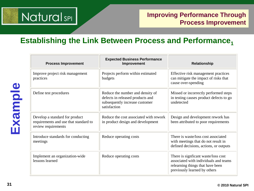## **NaturalsPL**

#### **Improving Performance Through Process Improvement**

#### **Establishing the Link Between Process and Performance,**

| <b>Process Improvement</b>                                                                     | <b>Expected Business Performance</b><br>Improvement                                                                    | <b>Relationship</b>                                                                                                                              |
|------------------------------------------------------------------------------------------------|------------------------------------------------------------------------------------------------------------------------|--------------------------------------------------------------------------------------------------------------------------------------------------|
| Improve project risk management<br>practices                                                   | Projects perform within estimated<br>budgets                                                                           | Effective risk management practices<br>can mitigate the impact of risks that<br>cause over-spending                                              |
| Define test procedures                                                                         | Reduce the number and density of<br>defects in released products and<br>subsequently increase customer<br>satisfaction | Missed or incorrectly performed steps<br>in testing causes product defects to go<br>undetected                                                   |
| Develop a standard for product<br>requirements and use that standard to<br>review requirements | Reduce the cost associated with rework<br>in product design and development                                            | Design and development rework has<br>been attributed to poor requirements                                                                        |
| Introduce standards for conducting<br>meetings                                                 | Reduce operating costs                                                                                                 | There is waste/loss cost associated<br>with meetings that do not result in<br>defined decisions, actions, or outputs                             |
| Implement an organization-wide<br>lessons learned                                              | Reduce operating costs                                                                                                 | There is signficant waste/loss cost<br>associated with individuals and teams<br>relearning things that have been<br>previously learned by others |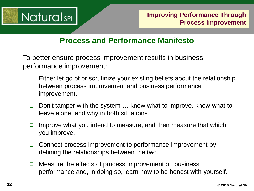

#### **Process and Performance Manifesto**

To better ensure process improvement results in business performance improvement:

- $\Box$  Either let go of or scrutinize your existing beliefs about the relationship between process improvement and business performance improvement.
- □ Don't tamper with the system ... know what to improve, know what to leave alone, and why in both situations.
- Improve what you intend to measure, and then measure that which you improve.
- $\Box$  Connect process improvement to performance improvement by defining the relationships between the two.
- $\Box$  Measure the effects of process improvement on business performance and, in doing so, learn how to be honest with yourself.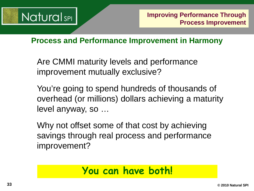

**Process and Performance Improvement in Harmony** 

Are CMMI maturity levels and performance improvement mutually exclusive?

You're going to spend hundreds of thousands of overhead (or millions) dollars achieving a maturity level anyway, so …

Why not offset some of that cost by achieving savings through real process and performance improvement?

### **You can have both!**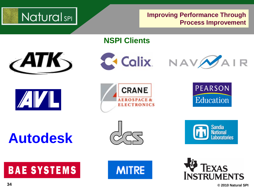

**Improving Performance Through Process Improvement**

**NSPI Clients**













**Autodesk**